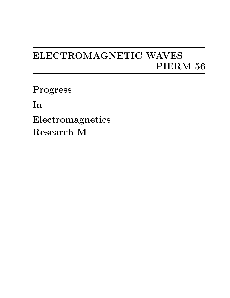## **ELECTROMAGNETIC WAVES PIERM 56**

**Progress**

**In**

**Electromagnetics Research M**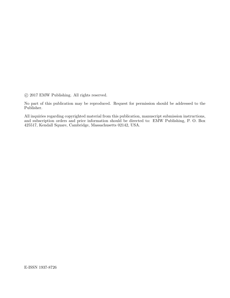*⃝*c 2017 EMW Publishing. All rights reserved.

No part of this publication may be reproduced. Request for permission should be addressed to the Publisher.

All inquiries regarding copyrighted material from this publication, manuscript submission instructions, and subscription orders and price information should be directed to: EMW Publishing, P. O. Box 425517, Kendall Square, Cambridge, Massachusetts 02142, USA.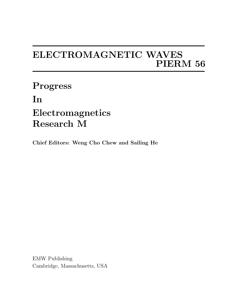## **ELECTROMAGNETIC WAVES PIERM 56**

**Progress In Electromagnetics Research M**

**Chief Editors: Weng Cho Chew and Sailing He**

EMW Publishing Cambridge, Massachusetts, USA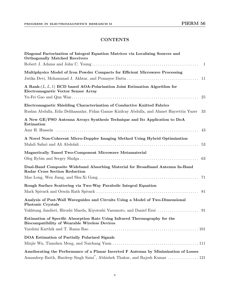## **CONTENTS**

| Diagonal Factorization of Integral Equation Matrices via Localizing Sources and<br><b>Orthogonally Matched Receivers</b>                                                           |
|------------------------------------------------------------------------------------------------------------------------------------------------------------------------------------|
| <sup>1</sup>                                                                                                                                                                       |
| Multiphysics Model of Iron Powder Compacts for Efficient Microwave Processing<br>-11                                                                                               |
| A Rank- $(L, L, 1)$ BCD based AOA-Polarization Joint Estimation Algorithm for<br><b>Electromagnetic Vector Sensor Array</b><br>25                                                  |
| Electromagnetic Shielding Characterization of Conductive Knitted Fabrics<br>Ruslan Abdulla, Ediz Delihasanlar, Fidan Gamze Kizilcay Abdulla, and Ahmet Hayrettin Yuzer<br>33       |
| A New GE/PSO Antenna Arrays Synthesis Technique and Its Application to DoA<br>Estimation                                                                                           |
| 43                                                                                                                                                                                 |
| A Novel Non-Coherent Micro-Doppler Imaging Method Using Hybrid Optimization<br>53                                                                                                  |
| Magnetically Tuned Two-Component Microwave Metamaterial<br>63                                                                                                                      |
| Dual-Band Composite Wideband Absorbing Material for Broadband Antenna In-Band<br><b>Radar Cross Section Reduction</b>                                                              |
| Rough Surface Scattering via Two-Way Parabolic Integral Equation                                                                                                                   |
|                                                                                                                                                                                    |
| Analysis of Post-Wall Waveguides and Circuits Using a Model of Two-Dimensional<br><b>Photonic Crystals</b>                                                                         |
|                                                                                                                                                                                    |
| Estimation of Specific Absorption Rate Using Infrared Thermography for the<br><b>Biocompatibility of Wearable Wireless Devices</b>                                                 |
|                                                                                                                                                                                    |
| DOA Estimation of Partially Polarized Signals                                                                                                                                      |
| Ameliorating the Performance of a Planar Inverted F Antenna by Minimization of Losses<br>Amandeep Batth, Hardeep Singh Saini <sup>*</sup> , Abhishek Thakur, and Rajesh Kumar  121 |
|                                                                                                                                                                                    |